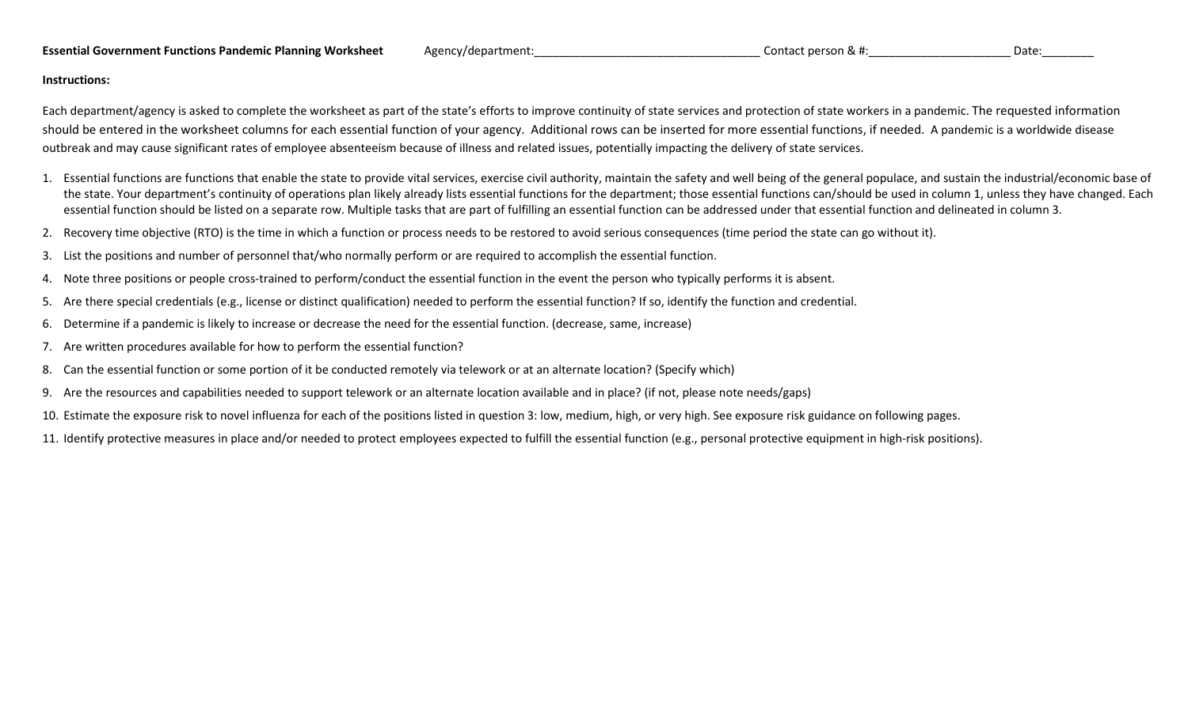## **Essential Government Functions Pandemic Planning Worksheet** Agency/department: **Agency Contact person & #: Contact person & #: Contact person & #: Date: Date: Date: Date: Date: Date: Date: Date: Da**

## **Instructions:**

Each department/agency is asked to complete the worksheet as part of the state's efforts to improve continuity of state services and protection of state workers in a pandemic. The requested information should be entered in the worksheet columns for each essential function of your agency. Additional rows can be inserted for more essential functions, if needed. A pandemic is a worldwide disease outbreak and may cause significant rates of employee absenteeism because of illness and related issues, potentially impacting the delivery of state services.

- 1. Essential functions are functions that enable the state to provide vital services, exercise civil authority, maintain the safety and well being of the general populace, and sustain the industrial/economic base of the state. Your department's continuity of operations plan likely already lists essential functions for the department; those essential functions can/should be used in column 1, unless they have changed. Each essential function should be listed on a separate row. Multiple tasks that are part of fulfilling an essential function can be addressed under that essential function and delineated in column 3.
- 2. Recovery time objective (RTO) is the time in which a function or process needs to be restored to avoid serious consequences (time period the state can go without it).
- 3. List the positions and number of personnel that/who normally perform or are required to accomplish the essential function.
- 4. Note three positions or people cross-trained to perform/conduct the essential function in the event the person who typically performs it is absent.
- 5. Are there special credentials (e.g., license or distinct qualification) needed to perform the essential function? If so, identify the function and credential.
- 6. Determine if a pandemic is likely to increase or decrease the need for the essential function. (decrease, same, increase)
- 7. Are written procedures available for how to perform the essential function?
- 8. Can the essential function or some portion of it be conducted remotely via telework or at an alternate location? (Specify which)
- 9. Are the resources and capabilities needed to support telework or an alternate location available and in place? (if not, please note needs/gaps)
- 10. Estimate the exposure risk to novel influenza for each of the positions listed in question 3: low, medium, high, or very high. See exposure risk guidance on following pages.
- 11. Identify protective measures in place and/or needed to protect employees expected to fulfill the essential function (e.g., personal protective equipment in high-risk positions).